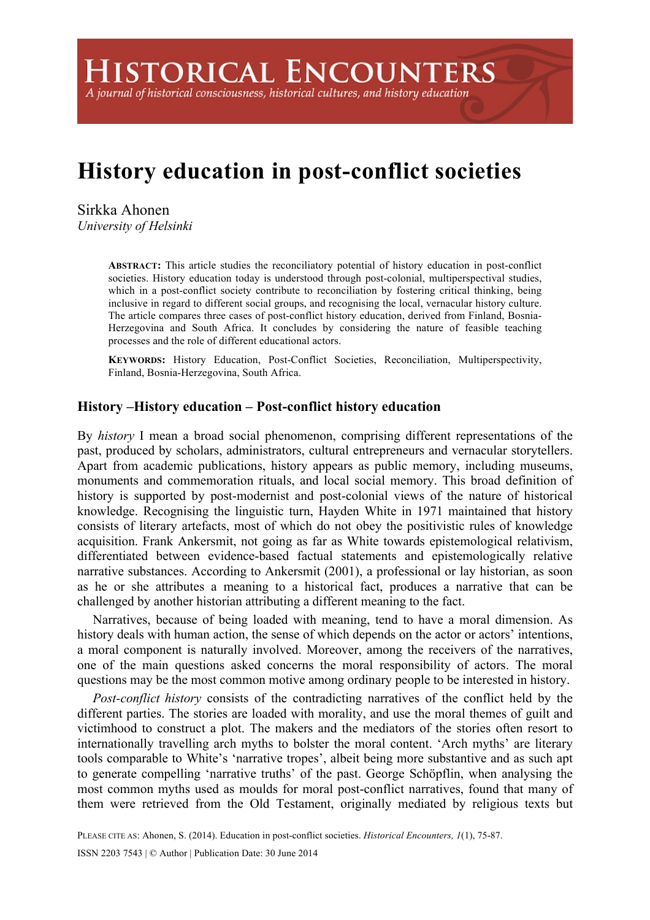**HISTORICAL ENCOUNTERS** 

A journal of historical consciousness, historical cultures, and history education

# **History education in post-conflict societies**

Sirkka Ahonen *University of Helsinki* 

> **ABSTRACT:** This article studies the reconciliatory potential of history education in post-conflict societies. History education today is understood through post-colonial, multiperspectival studies, which in a post-conflict society contribute to reconciliation by fostering critical thinking, being inclusive in regard to different social groups, and recognising the local, vernacular history culture. The article compares three cases of post-conflict history education, derived from Finland, Bosnia-Herzegovina and South Africa. It concludes by considering the nature of feasible teaching processes and the role of different educational actors.

> **KEYWORDS:** History Education, Post-Conflict Societies, Reconciliation, Multiperspectivity, Finland, Bosnia-Herzegovina, South Africa.

## **History –History education – Post-conflict history education**

By *history* I mean a broad social phenomenon, comprising different representations of the past, produced by scholars, administrators, cultural entrepreneurs and vernacular storytellers. Apart from academic publications, history appears as public memory, including museums, monuments and commemoration rituals, and local social memory. This broad definition of history is supported by post-modernist and post-colonial views of the nature of historical knowledge. Recognising the linguistic turn, Hayden White in 1971 maintained that history consists of literary artefacts, most of which do not obey the positivistic rules of knowledge acquisition. Frank Ankersmit, not going as far as White towards epistemological relativism, differentiated between evidence-based factual statements and epistemologically relative narrative substances. According to Ankersmit (2001), a professional or lay historian, as soon as he or she attributes a meaning to a historical fact, produces a narrative that can be challenged by another historian attributing a different meaning to the fact.

Narratives, because of being loaded with meaning, tend to have a moral dimension. As history deals with human action, the sense of which depends on the actor or actors' intentions, a moral component is naturally involved. Moreover, among the receivers of the narratives, one of the main questions asked concerns the moral responsibility of actors. The moral questions may be the most common motive among ordinary people to be interested in history.

*Post-conflict history* consists of the contradicting narratives of the conflict held by the different parties. The stories are loaded with morality, and use the moral themes of guilt and victimhood to construct a plot. The makers and the mediators of the stories often resort to internationally travelling arch myths to bolster the moral content. 'Arch myths' are literary tools comparable to White's 'narrative tropes', albeit being more substantive and as such apt to generate compelling 'narrative truths' of the past. George Schöpflin, when analysing the most common myths used as moulds for moral post-conflict narratives, found that many of them were retrieved from the Old Testament, originally mediated by religious texts but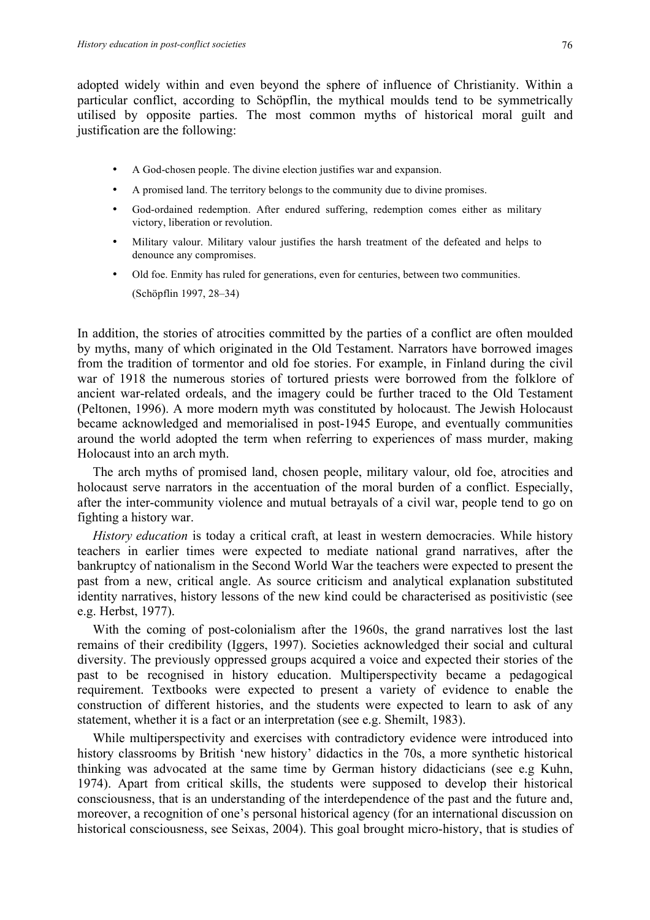adopted widely within and even beyond the sphere of influence of Christianity. Within a particular conflict, according to Schöpflin, the mythical moulds tend to be symmetrically utilised by opposite parties. The most common myths of historical moral guilt and justification are the following:

- A God-chosen people. The divine election justifies war and expansion.
- A promised land. The territory belongs to the community due to divine promises.
- God-ordained redemption. After endured suffering, redemption comes either as military victory, liberation or revolution.
- Military valour. Military valour justifies the harsh treatment of the defeated and helps to denounce any compromises.
- Old foe. Enmity has ruled for generations, even for centuries, between two communities. (Schöpflin 1997, 28–34)

In addition, the stories of atrocities committed by the parties of a conflict are often moulded by myths, many of which originated in the Old Testament. Narrators have borrowed images from the tradition of tormentor and old foe stories. For example, in Finland during the civil war of 1918 the numerous stories of tortured priests were borrowed from the folklore of ancient war-related ordeals, and the imagery could be further traced to the Old Testament (Peltonen, 1996). A more modern myth was constituted by holocaust. The Jewish Holocaust became acknowledged and memorialised in post-1945 Europe, and eventually communities around the world adopted the term when referring to experiences of mass murder, making Holocaust into an arch myth.

The arch myths of promised land, chosen people, military valour, old foe, atrocities and holocaust serve narrators in the accentuation of the moral burden of a conflict. Especially, after the inter-community violence and mutual betrayals of a civil war, people tend to go on fighting a history war.

*History education* is today a critical craft, at least in western democracies. While history teachers in earlier times were expected to mediate national grand narratives, after the bankruptcy of nationalism in the Second World War the teachers were expected to present the past from a new, critical angle. As source criticism and analytical explanation substituted identity narratives, history lessons of the new kind could be characterised as positivistic (see e.g. Herbst, 1977).

With the coming of post-colonialism after the 1960s, the grand narratives lost the last remains of their credibility (Iggers, 1997). Societies acknowledged their social and cultural diversity. The previously oppressed groups acquired a voice and expected their stories of the past to be recognised in history education. Multiperspectivity became a pedagogical requirement. Textbooks were expected to present a variety of evidence to enable the construction of different histories, and the students were expected to learn to ask of any statement, whether it is a fact or an interpretation (see e.g. Shemilt, 1983).

While multiperspectivity and exercises with contradictory evidence were introduced into history classrooms by British 'new history' didactics in the 70s, a more synthetic historical thinking was advocated at the same time by German history didacticians (see e.g Kuhn, 1974). Apart from critical skills, the students were supposed to develop their historical consciousness, that is an understanding of the interdependence of the past and the future and, moreover, a recognition of one's personal historical agency (for an international discussion on historical consciousness, see Seixas, 2004). This goal brought micro-history, that is studies of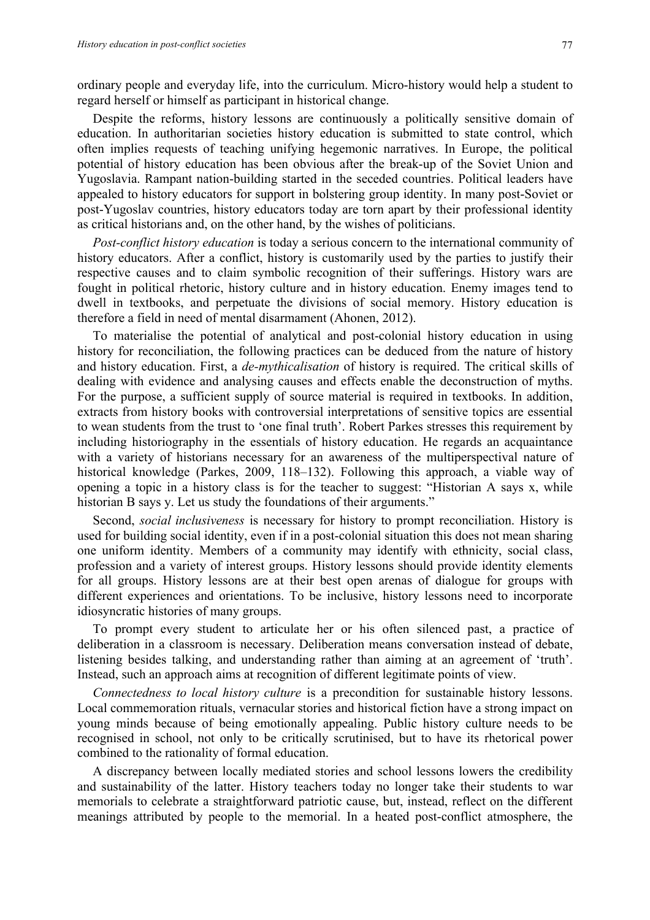ordinary people and everyday life, into the curriculum. Micro-history would help a student to regard herself or himself as participant in historical change.

Despite the reforms, history lessons are continuously a politically sensitive domain of education. In authoritarian societies history education is submitted to state control, which often implies requests of teaching unifying hegemonic narratives. In Europe, the political potential of history education has been obvious after the break-up of the Soviet Union and Yugoslavia. Rampant nation-building started in the seceded countries. Political leaders have appealed to history educators for support in bolstering group identity. In many post-Soviet or post-Yugoslav countries, history educators today are torn apart by their professional identity as critical historians and, on the other hand, by the wishes of politicians.

*Post-conflict history education* is today a serious concern to the international community of history educators. After a conflict, history is customarily used by the parties to justify their respective causes and to claim symbolic recognition of their sufferings. History wars are fought in political rhetoric, history culture and in history education. Enemy images tend to dwell in textbooks, and perpetuate the divisions of social memory. History education is therefore a field in need of mental disarmament (Ahonen, 2012).

To materialise the potential of analytical and post-colonial history education in using history for reconciliation, the following practices can be deduced from the nature of history and history education. First, a *de-mythicalisation* of history is required. The critical skills of dealing with evidence and analysing causes and effects enable the deconstruction of myths. For the purpose, a sufficient supply of source material is required in textbooks. In addition, extracts from history books with controversial interpretations of sensitive topics are essential to wean students from the trust to 'one final truth'. Robert Parkes stresses this requirement by including historiography in the essentials of history education. He regards an acquaintance with a variety of historians necessary for an awareness of the multiperspectival nature of historical knowledge (Parkes, 2009, 118–132). Following this approach, a viable way of opening a topic in a history class is for the teacher to suggest: "Historian A says x, while historian B says y. Let us study the foundations of their arguments."

Second, *social inclusiveness* is necessary for history to prompt reconciliation. History is used for building social identity, even if in a post-colonial situation this does not mean sharing one uniform identity. Members of a community may identify with ethnicity, social class, profession and a variety of interest groups. History lessons should provide identity elements for all groups. History lessons are at their best open arenas of dialogue for groups with different experiences and orientations. To be inclusive, history lessons need to incorporate idiosyncratic histories of many groups.

To prompt every student to articulate her or his often silenced past, a practice of deliberation in a classroom is necessary. Deliberation means conversation instead of debate, listening besides talking, and understanding rather than aiming at an agreement of 'truth'. Instead, such an approach aims at recognition of different legitimate points of view.

*Connectedness to local history culture* is a precondition for sustainable history lessons. Local commemoration rituals, vernacular stories and historical fiction have a strong impact on young minds because of being emotionally appealing. Public history culture needs to be recognised in school, not only to be critically scrutinised, but to have its rhetorical power combined to the rationality of formal education.

A discrepancy between locally mediated stories and school lessons lowers the credibility and sustainability of the latter. History teachers today no longer take their students to war memorials to celebrate a straightforward patriotic cause, but, instead, reflect on the different meanings attributed by people to the memorial. In a heated post-conflict atmosphere, the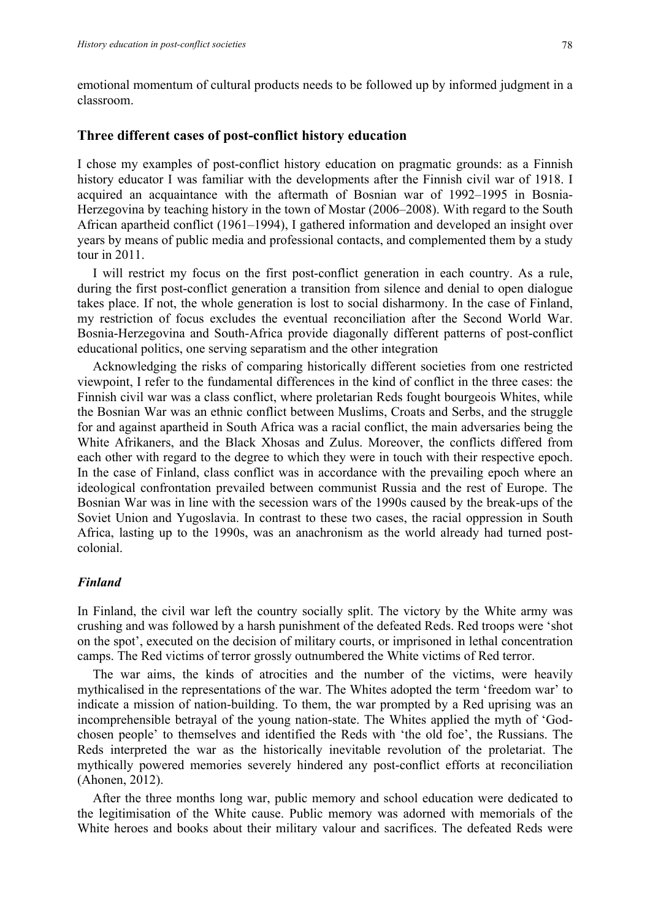emotional momentum of cultural products needs to be followed up by informed judgment in a classroom.

#### **Three different cases of post-conflict history education**

I chose my examples of post-conflict history education on pragmatic grounds: as a Finnish history educator I was familiar with the developments after the Finnish civil war of 1918. I acquired an acquaintance with the aftermath of Bosnian war of 1992–1995 in Bosnia-Herzegovina by teaching history in the town of Mostar (2006–2008). With regard to the South African apartheid conflict (1961–1994), I gathered information and developed an insight over years by means of public media and professional contacts, and complemented them by a study tour in 2011.

I will restrict my focus on the first post-conflict generation in each country. As a rule, during the first post-conflict generation a transition from silence and denial to open dialogue takes place. If not, the whole generation is lost to social disharmony. In the case of Finland, my restriction of focus excludes the eventual reconciliation after the Second World War. Bosnia-Herzegovina and South-Africa provide diagonally different patterns of post-conflict educational politics, one serving separatism and the other integration

Acknowledging the risks of comparing historically different societies from one restricted viewpoint, I refer to the fundamental differences in the kind of conflict in the three cases: the Finnish civil war was a class conflict, where proletarian Reds fought bourgeois Whites, while the Bosnian War was an ethnic conflict between Muslims, Croats and Serbs, and the struggle for and against apartheid in South Africa was a racial conflict, the main adversaries being the White Afrikaners, and the Black Xhosas and Zulus. Moreover, the conflicts differed from each other with regard to the degree to which they were in touch with their respective epoch. In the case of Finland, class conflict was in accordance with the prevailing epoch where an ideological confrontation prevailed between communist Russia and the rest of Europe. The Bosnian War was in line with the secession wars of the 1990s caused by the break-ups of the Soviet Union and Yugoslavia. In contrast to these two cases, the racial oppression in South Africa, lasting up to the 1990s, was an anachronism as the world already had turned postcolonial.

### *Finland*

In Finland, the civil war left the country socially split. The victory by the White army was crushing and was followed by a harsh punishment of the defeated Reds. Red troops were 'shot on the spot', executed on the decision of military courts, or imprisoned in lethal concentration camps. The Red victims of terror grossly outnumbered the White victims of Red terror.

The war aims, the kinds of atrocities and the number of the victims, were heavily mythicalised in the representations of the war. The Whites adopted the term 'freedom war' to indicate a mission of nation-building. To them, the war prompted by a Red uprising was an incomprehensible betrayal of the young nation-state. The Whites applied the myth of 'Godchosen people' to themselves and identified the Reds with 'the old foe', the Russians. The Reds interpreted the war as the historically inevitable revolution of the proletariat. The mythically powered memories severely hindered any post-conflict efforts at reconciliation (Ahonen, 2012).

After the three months long war, public memory and school education were dedicated to the legitimisation of the White cause. Public memory was adorned with memorials of the White heroes and books about their military valour and sacrifices. The defeated Reds were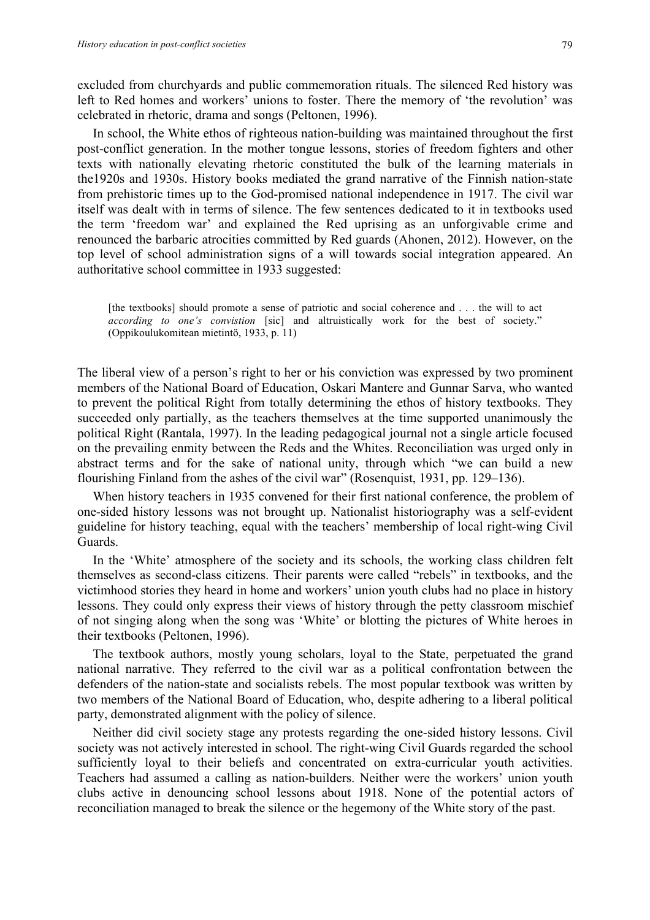excluded from churchyards and public commemoration rituals. The silenced Red history was left to Red homes and workers' unions to foster. There the memory of 'the revolution' was celebrated in rhetoric, drama and songs (Peltonen, 1996).

In school, the White ethos of righteous nation-building was maintained throughout the first post-conflict generation. In the mother tongue lessons, stories of freedom fighters and other texts with nationally elevating rhetoric constituted the bulk of the learning materials in the1920s and 1930s. History books mediated the grand narrative of the Finnish nation-state from prehistoric times up to the God-promised national independence in 1917. The civil war itself was dealt with in terms of silence. The few sentences dedicated to it in textbooks used the term 'freedom war' and explained the Red uprising as an unforgivable crime and renounced the barbaric atrocities committed by Red guards (Ahonen, 2012). However, on the top level of school administration signs of a will towards social integration appeared. An authoritative school committee in 1933 suggested:

[the textbooks] should promote a sense of patriotic and social coherence and . . . the will to act *according to one's convistion* [sic] and altruistically work for the best of society." (Oppikoulukomitean mietintö, 1933, p. 11)

The liberal view of a person's right to her or his conviction was expressed by two prominent members of the National Board of Education, Oskari Mantere and Gunnar Sarva, who wanted to prevent the political Right from totally determining the ethos of history textbooks. They succeeded only partially, as the teachers themselves at the time supported unanimously the political Right (Rantala, 1997). In the leading pedagogical journal not a single article focused on the prevailing enmity between the Reds and the Whites. Reconciliation was urged only in abstract terms and for the sake of national unity, through which "we can build a new flourishing Finland from the ashes of the civil war" (Rosenquist, 1931, pp. 129–136).

When history teachers in 1935 convened for their first national conference, the problem of one-sided history lessons was not brought up. Nationalist historiography was a self-evident guideline for history teaching, equal with the teachers' membership of local right-wing Civil Guards.

In the 'White' atmosphere of the society and its schools, the working class children felt themselves as second-class citizens. Their parents were called "rebels" in textbooks, and the victimhood stories they heard in home and workers' union youth clubs had no place in history lessons. They could only express their views of history through the petty classroom mischief of not singing along when the song was 'White' or blotting the pictures of White heroes in their textbooks (Peltonen, 1996).

The textbook authors, mostly young scholars, loyal to the State, perpetuated the grand national narrative. They referred to the civil war as a political confrontation between the defenders of the nation-state and socialists rebels. The most popular textbook was written by two members of the National Board of Education, who, despite adhering to a liberal political party, demonstrated alignment with the policy of silence.

Neither did civil society stage any protests regarding the one-sided history lessons. Civil society was not actively interested in school. The right-wing Civil Guards regarded the school sufficiently loyal to their beliefs and concentrated on extra-curricular youth activities. Teachers had assumed a calling as nation-builders. Neither were the workers' union youth clubs active in denouncing school lessons about 1918. None of the potential actors of reconciliation managed to break the silence or the hegemony of the White story of the past.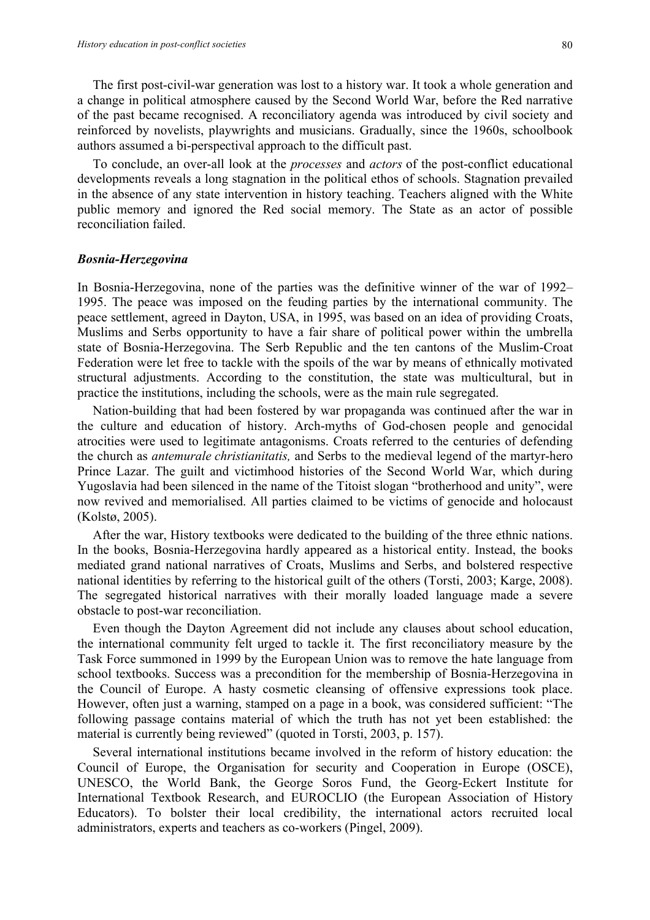The first post-civil-war generation was lost to a history war. It took a whole generation and a change in political atmosphere caused by the Second World War, before the Red narrative of the past became recognised. A reconciliatory agenda was introduced by civil society and reinforced by novelists, playwrights and musicians. Gradually, since the 1960s, schoolbook authors assumed a bi-perspectival approach to the difficult past.

To conclude, an over-all look at the *processes* and *actors* of the post-conflict educational developments reveals a long stagnation in the political ethos of schools. Stagnation prevailed in the absence of any state intervention in history teaching. Teachers aligned with the White public memory and ignored the Red social memory. The State as an actor of possible reconciliation failed.

#### *Bosnia-Herzegovina*

In Bosnia-Herzegovina, none of the parties was the definitive winner of the war of 1992– 1995. The peace was imposed on the feuding parties by the international community. The peace settlement, agreed in Dayton, USA, in 1995, was based on an idea of providing Croats, Muslims and Serbs opportunity to have a fair share of political power within the umbrella state of Bosnia-Herzegovina. The Serb Republic and the ten cantons of the Muslim-Croat Federation were let free to tackle with the spoils of the war by means of ethnically motivated structural adjustments. According to the constitution, the state was multicultural, but in practice the institutions, including the schools, were as the main rule segregated.

Nation-building that had been fostered by war propaganda was continued after the war in the culture and education of history. Arch-myths of God-chosen people and genocidal atrocities were used to legitimate antagonisms. Croats referred to the centuries of defending the church as *antemurale christianitatis,* and Serbs to the medieval legend of the martyr-hero Prince Lazar. The guilt and victimhood histories of the Second World War, which during Yugoslavia had been silenced in the name of the Titoist slogan "brotherhood and unity", were now revived and memorialised. All parties claimed to be victims of genocide and holocaust (Kolstø, 2005).

After the war, History textbooks were dedicated to the building of the three ethnic nations. In the books, Bosnia-Herzegovina hardly appeared as a historical entity. Instead, the books mediated grand national narratives of Croats, Muslims and Serbs, and bolstered respective national identities by referring to the historical guilt of the others (Torsti, 2003; Karge, 2008). The segregated historical narratives with their morally loaded language made a severe obstacle to post-war reconciliation.

Even though the Dayton Agreement did not include any clauses about school education, the international community felt urged to tackle it. The first reconciliatory measure by the Task Force summoned in 1999 by the European Union was to remove the hate language from school textbooks. Success was a precondition for the membership of Bosnia-Herzegovina in the Council of Europe. A hasty cosmetic cleansing of offensive expressions took place. However, often just a warning, stamped on a page in a book, was considered sufficient: "The following passage contains material of which the truth has not yet been established: the material is currently being reviewed" (quoted in Torsti, 2003, p. 157).

Several international institutions became involved in the reform of history education: the Council of Europe, the Organisation for security and Cooperation in Europe (OSCE), UNESCO, the World Bank, the George Soros Fund, the Georg-Eckert Institute for International Textbook Research, and EUROCLIO (the European Association of History Educators). To bolster their local credibility, the international actors recruited local administrators, experts and teachers as co-workers (Pingel, 2009).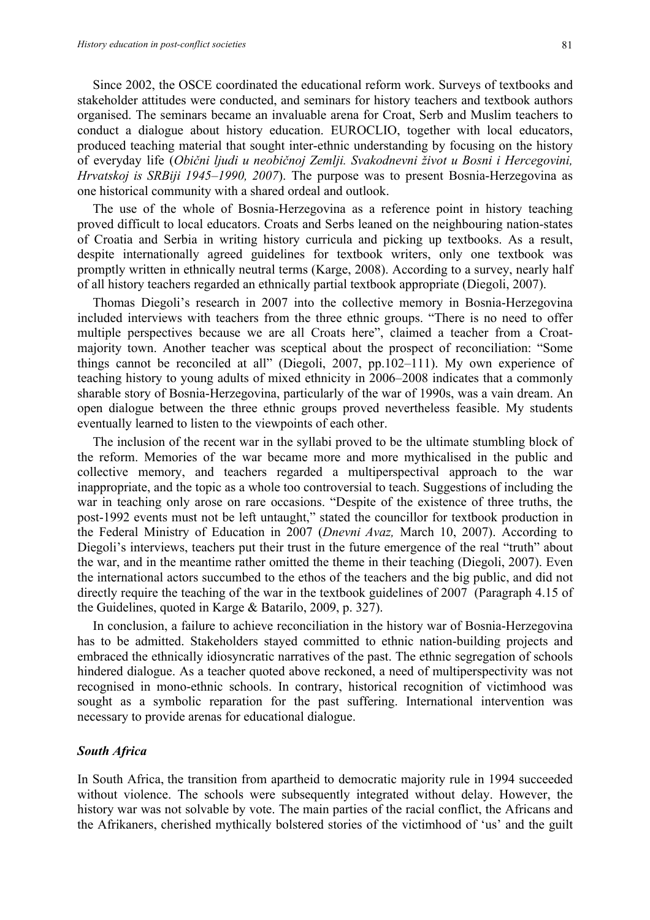Since 2002, the OSCE coordinated the educational reform work. Surveys of textbooks and stakeholder attitudes were conducted, and seminars for history teachers and textbook authors organised. The seminars became an invaluable arena for Croat, Serb and Muslim teachers to conduct a dialogue about history education. EUROCLIO, together with local educators, produced teaching material that sought inter-ethnic understanding by focusing on the history of everyday life (*Obični ljudi u neobičnoj Zemlji. Svakodnevni život u Bosni i Hercegovini, Hrvatskoj is SRBiji 1945–1990, 2007*). The purpose was to present Bosnia-Herzegovina as one historical community with a shared ordeal and outlook.

The use of the whole of Bosnia-Herzegovina as a reference point in history teaching proved difficult to local educators. Croats and Serbs leaned on the neighbouring nation-states of Croatia and Serbia in writing history curricula and picking up textbooks. As a result, despite internationally agreed guidelines for textbook writers, only one textbook was promptly written in ethnically neutral terms (Karge, 2008). According to a survey, nearly half of all history teachers regarded an ethnically partial textbook appropriate (Diegoli, 2007).

Thomas Diegoli's research in 2007 into the collective memory in Bosnia-Herzegovina included interviews with teachers from the three ethnic groups. "There is no need to offer multiple perspectives because we are all Croats here", claimed a teacher from a Croatmajority town. Another teacher was sceptical about the prospect of reconciliation: "Some things cannot be reconciled at all" (Diegoli, 2007, pp.102–111). My own experience of teaching history to young adults of mixed ethnicity in 2006–2008 indicates that a commonly sharable story of Bosnia-Herzegovina, particularly of the war of 1990s, was a vain dream. An open dialogue between the three ethnic groups proved nevertheless feasible. My students eventually learned to listen to the viewpoints of each other.

The inclusion of the recent war in the syllabi proved to be the ultimate stumbling block of the reform. Memories of the war became more and more mythicalised in the public and collective memory, and teachers regarded a multiperspectival approach to the war inappropriate, and the topic as a whole too controversial to teach. Suggestions of including the war in teaching only arose on rare occasions. "Despite of the existence of three truths, the post-1992 events must not be left untaught," stated the councillor for textbook production in the Federal Ministry of Education in 2007 (*Dnevni Avaz,* March 10, 2007). According to Diegoli's interviews, teachers put their trust in the future emergence of the real "truth" about the war, and in the meantime rather omitted the theme in their teaching (Diegoli, 2007). Even the international actors succumbed to the ethos of the teachers and the big public, and did not directly require the teaching of the war in the textbook guidelines of 2007 (Paragraph 4.15 of the Guidelines, quoted in Karge & Batarilo, 2009, p. 327).

In conclusion, a failure to achieve reconciliation in the history war of Bosnia-Herzegovina has to be admitted. Stakeholders stayed committed to ethnic nation-building projects and embraced the ethnically idiosyncratic narratives of the past. The ethnic segregation of schools hindered dialogue. As a teacher quoted above reckoned, a need of multiperspectivity was not recognised in mono-ethnic schools. In contrary, historical recognition of victimhood was sought as a symbolic reparation for the past suffering. International intervention was necessary to provide arenas for educational dialogue.

## *South Africa*

In South Africa, the transition from apartheid to democratic majority rule in 1994 succeeded without violence. The schools were subsequently integrated without delay. However, the history war was not solvable by vote. The main parties of the racial conflict, the Africans and the Afrikaners, cherished mythically bolstered stories of the victimhood of 'us' and the guilt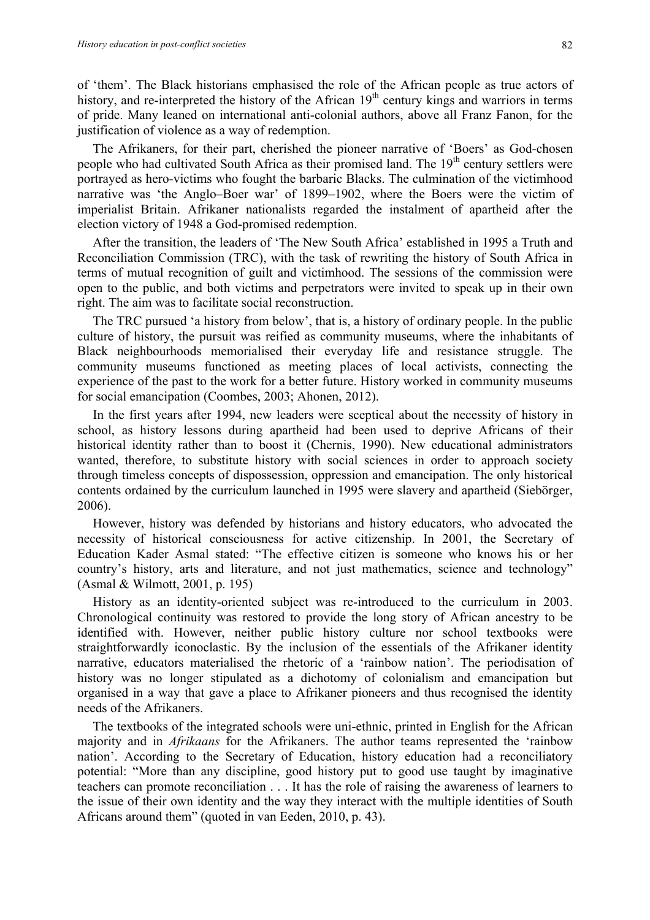of 'them'. The Black historians emphasised the role of the African people as true actors of history, and re-interpreted the history of the African 19<sup>th</sup> century kings and warriors in terms of pride. Many leaned on international anti-colonial authors, above all Franz Fanon, for the justification of violence as a way of redemption.

The Afrikaners, for their part, cherished the pioneer narrative of 'Boers' as God-chosen people who had cultivated South Africa as their promised land. The 19<sup>th</sup> century settlers were portrayed as hero-victims who fought the barbaric Blacks. The culmination of the victimhood narrative was 'the Anglo–Boer war' of 1899–1902, where the Boers were the victim of imperialist Britain. Afrikaner nationalists regarded the instalment of apartheid after the election victory of 1948 a God-promised redemption.

After the transition, the leaders of 'The New South Africa' established in 1995 a Truth and Reconciliation Commission (TRC), with the task of rewriting the history of South Africa in terms of mutual recognition of guilt and victimhood. The sessions of the commission were open to the public, and both victims and perpetrators were invited to speak up in their own right. The aim was to facilitate social reconstruction.

The TRC pursued 'a history from below', that is, a history of ordinary people. In the public culture of history, the pursuit was reified as community museums, where the inhabitants of Black neighbourhoods memorialised their everyday life and resistance struggle. The community museums functioned as meeting places of local activists, connecting the experience of the past to the work for a better future. History worked in community museums for social emancipation (Coombes, 2003; Ahonen, 2012).

In the first years after 1994, new leaders were sceptical about the necessity of history in school, as history lessons during apartheid had been used to deprive Africans of their historical identity rather than to boost it (Chernis, 1990). New educational administrators wanted, therefore, to substitute history with social sciences in order to approach society through timeless concepts of dispossession, oppression and emancipation. The only historical contents ordained by the curriculum launched in 1995 were slavery and apartheid (Siebörger, 2006).

However, history was defended by historians and history educators, who advocated the necessity of historical consciousness for active citizenship. In 2001, the Secretary of Education Kader Asmal stated: "The effective citizen is someone who knows his or her country's history, arts and literature, and not just mathematics, science and technology" (Asmal & Wilmott, 2001, p. 195)

History as an identity-oriented subject was re-introduced to the curriculum in 2003. Chronological continuity was restored to provide the long story of African ancestry to be identified with. However, neither public history culture nor school textbooks were straightforwardly iconoclastic. By the inclusion of the essentials of the Afrikaner identity narrative, educators materialised the rhetoric of a 'rainbow nation'. The periodisation of history was no longer stipulated as a dichotomy of colonialism and emancipation but organised in a way that gave a place to Afrikaner pioneers and thus recognised the identity needs of the Afrikaners.

The textbooks of the integrated schools were uni-ethnic, printed in English for the African majority and in *Afrikaans* for the Afrikaners. The author teams represented the 'rainbow nation'. According to the Secretary of Education, history education had a reconciliatory potential: "More than any discipline, good history put to good use taught by imaginative teachers can promote reconciliation . . . It has the role of raising the awareness of learners to the issue of their own identity and the way they interact with the multiple identities of South Africans around them" (quoted in van Eeden, 2010, p. 43).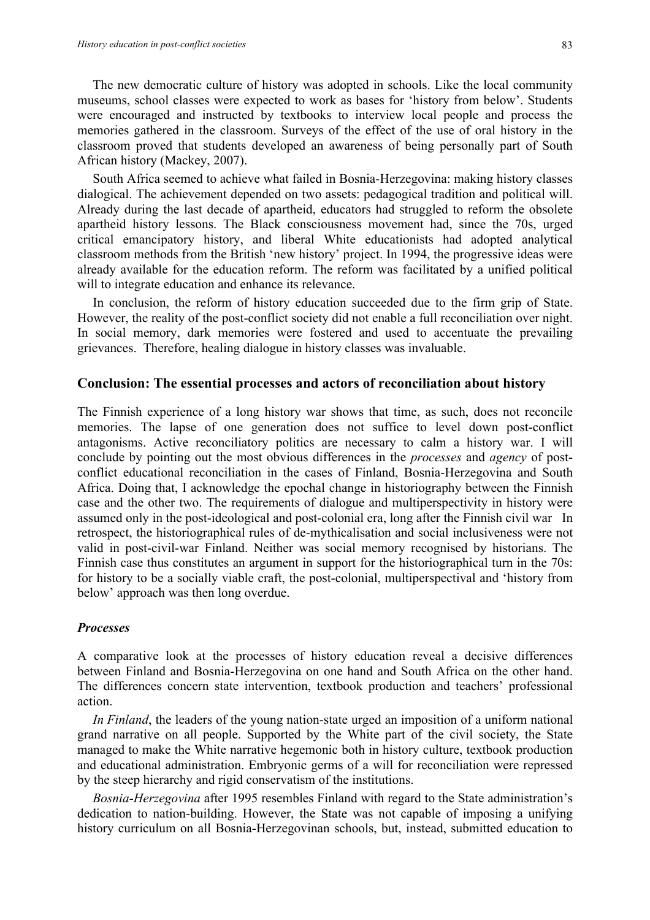The new democratic culture of history was adopted in schools. Like the local community museums, school classes were expected to work as bases for 'history from below'. Students were encouraged and instructed by textbooks to interview local people and process the memories gathered in the classroom. Surveys of the effect of the use of oral history in the classroom proved that students developed an awareness of being personally part of South African history (Mackey, 2007).

South Africa seemed to achieve what failed in Bosnia-Herzegovina: making history classes dialogical. The achievement depended on two assets: pedagogical tradition and political will. Already during the last decade of apartheid, educators had struggled to reform the obsolete apartheid history lessons. The Black consciousness movement had, since the 70s, urged critical emancipatory history, and liberal White educationists had adopted analytical classroom methods from the British 'new history' project. In 1994, the progressive ideas were already available for the education reform. The reform was facilitated by a unified political will to integrate education and enhance its relevance.

In conclusion, the reform of history education succeeded due to the firm grip of State. However, the reality of the post-conflict society did not enable a full reconciliation over night. In social memory, dark memories were fostered and used to accentuate the prevailing grievances. Therefore, healing dialogue in history classes was invaluable.

#### **Conclusion: The essential processes and actors of reconciliation about history**

The Finnish experience of a long history war shows that time, as such, does not reconcile memories. The lapse of one generation does not suffice to level down post-conflict antagonisms. Active reconciliatory politics are necessary to calm a history war. I will conclude by pointing out the most obvious differences in the *processes* and *agency* of postconflict educational reconciliation in the cases of Finland, Bosnia-Herzegovina and South Africa. Doing that, I acknowledge the epochal change in historiography between the Finnish case and the other two. The requirements of dialogue and multiperspectivity in history were assumed only in the post-ideological and post-colonial era, long after the Finnish civil war In retrospect, the historiographical rules of de-mythicalisation and social inclusiveness were not valid in post-civil-war Finland. Neither was social memory recognised by historians. The Finnish case thus constitutes an argument in support for the historiographical turn in the 70s: for history to be a socially viable craft, the post-colonial, multiperspectival and 'history from below' approach was then long overdue.

#### *Processes*

A comparative look at the processes of history education reveal a decisive differences between Finland and Bosnia-Herzegovina on one hand and South Africa on the other hand. The differences concern state intervention, textbook production and teachers' professional action.

*In Finland*, the leaders of the young nation-state urged an imposition of a uniform national grand narrative on all people. Supported by the White part of the civil society, the State managed to make the White narrative hegemonic both in history culture, textbook production and educational administration. Embryonic germs of a will for reconciliation were repressed by the steep hierarchy and rigid conservatism of the institutions.

*Bosnia-Herzegovina* after 1995 resembles Finland with regard to the State administration's dedication to nation-building. However, the State was not capable of imposing a unifying history curriculum on all Bosnia-Herzegovinan schools, but, instead, submitted education to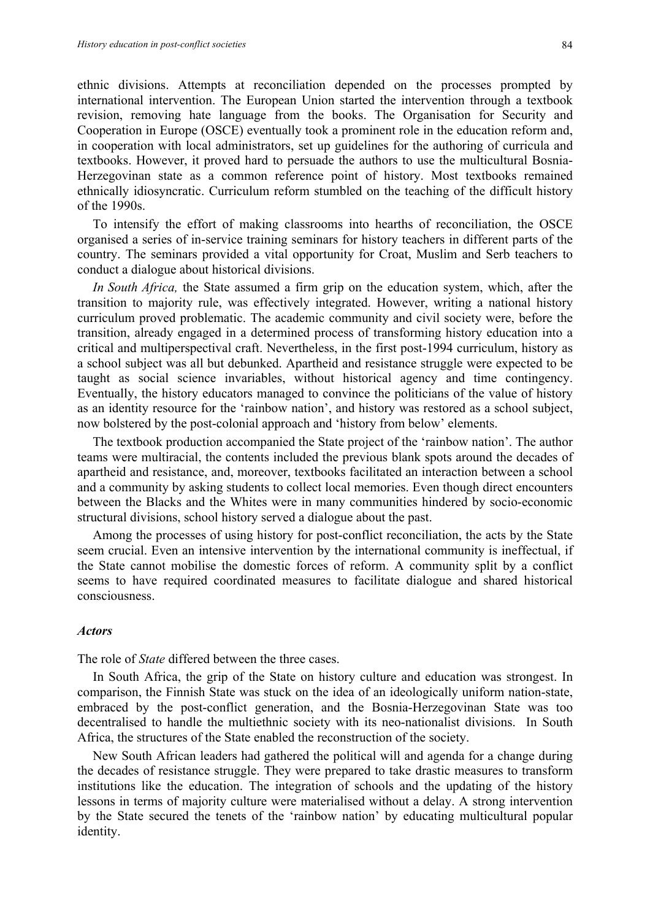ethnic divisions. Attempts at reconciliation depended on the processes prompted by international intervention. The European Union started the intervention through a textbook revision, removing hate language from the books. The Organisation for Security and Cooperation in Europe (OSCE) eventually took a prominent role in the education reform and, in cooperation with local administrators, set up guidelines for the authoring of curricula and textbooks. However, it proved hard to persuade the authors to use the multicultural Bosnia-Herzegovinan state as a common reference point of history. Most textbooks remained ethnically idiosyncratic. Curriculum reform stumbled on the teaching of the difficult history of the 1990s.

To intensify the effort of making classrooms into hearths of reconciliation, the OSCE organised a series of in-service training seminars for history teachers in different parts of the country. The seminars provided a vital opportunity for Croat, Muslim and Serb teachers to conduct a dialogue about historical divisions.

*In South Africa,* the State assumed a firm grip on the education system, which, after the transition to majority rule, was effectively integrated. However, writing a national history curriculum proved problematic. The academic community and civil society were, before the transition, already engaged in a determined process of transforming history education into a critical and multiperspectival craft. Nevertheless, in the first post-1994 curriculum, history as a school subject was all but debunked. Apartheid and resistance struggle were expected to be taught as social science invariables, without historical agency and time contingency. Eventually, the history educators managed to convince the politicians of the value of history as an identity resource for the 'rainbow nation', and history was restored as a school subject, now bolstered by the post-colonial approach and 'history from below' elements.

The textbook production accompanied the State project of the 'rainbow nation'. The author teams were multiracial, the contents included the previous blank spots around the decades of apartheid and resistance, and, moreover, textbooks facilitated an interaction between a school and a community by asking students to collect local memories. Even though direct encounters between the Blacks and the Whites were in many communities hindered by socio-economic structural divisions, school history served a dialogue about the past.

Among the processes of using history for post-conflict reconciliation, the acts by the State seem crucial. Even an intensive intervention by the international community is ineffectual, if the State cannot mobilise the domestic forces of reform. A community split by a conflict seems to have required coordinated measures to facilitate dialogue and shared historical consciousness.

#### *Actors*

The role of *State* differed between the three cases.

In South Africa, the grip of the State on history culture and education was strongest. In comparison, the Finnish State was stuck on the idea of an ideologically uniform nation-state, embraced by the post-conflict generation, and the Bosnia-Herzegovinan State was too decentralised to handle the multiethnic society with its neo-nationalist divisions. In South Africa, the structures of the State enabled the reconstruction of the society.

New South African leaders had gathered the political will and agenda for a change during the decades of resistance struggle. They were prepared to take drastic measures to transform institutions like the education. The integration of schools and the updating of the history lessons in terms of majority culture were materialised without a delay. A strong intervention by the State secured the tenets of the 'rainbow nation' by educating multicultural popular identity.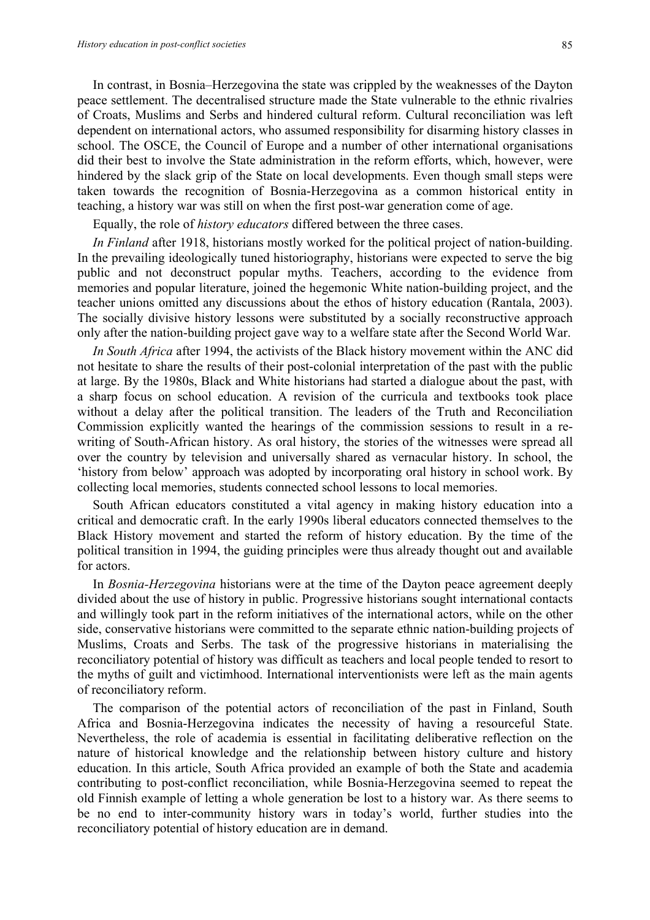In contrast, in Bosnia–Herzegovina the state was crippled by the weaknesses of the Dayton peace settlement. The decentralised structure made the State vulnerable to the ethnic rivalries of Croats, Muslims and Serbs and hindered cultural reform. Cultural reconciliation was left dependent on international actors, who assumed responsibility for disarming history classes in school. The OSCE, the Council of Europe and a number of other international organisations did their best to involve the State administration in the reform efforts, which, however, were hindered by the slack grip of the State on local developments. Even though small steps were taken towards the recognition of Bosnia-Herzegovina as a common historical entity in teaching, a history war was still on when the first post-war generation come of age.

Equally, the role of *history educators* differed between the three cases.

*In Finland* after 1918, historians mostly worked for the political project of nation-building. In the prevailing ideologically tuned historiography, historians were expected to serve the big public and not deconstruct popular myths. Teachers, according to the evidence from memories and popular literature, joined the hegemonic White nation-building project, and the teacher unions omitted any discussions about the ethos of history education (Rantala, 2003). The socially divisive history lessons were substituted by a socially reconstructive approach only after the nation-building project gave way to a welfare state after the Second World War.

*In South Africa* after 1994, the activists of the Black history movement within the ANC did not hesitate to share the results of their post-colonial interpretation of the past with the public at large. By the 1980s, Black and White historians had started a dialogue about the past, with a sharp focus on school education. A revision of the curricula and textbooks took place without a delay after the political transition. The leaders of the Truth and Reconciliation Commission explicitly wanted the hearings of the commission sessions to result in a rewriting of South-African history. As oral history, the stories of the witnesses were spread all over the country by television and universally shared as vernacular history. In school, the 'history from below' approach was adopted by incorporating oral history in school work. By collecting local memories, students connected school lessons to local memories.

South African educators constituted a vital agency in making history education into a critical and democratic craft. In the early 1990s liberal educators connected themselves to the Black History movement and started the reform of history education. By the time of the political transition in 1994, the guiding principles were thus already thought out and available for actors.

In *Bosnia-Herzegovina* historians were at the time of the Dayton peace agreement deeply divided about the use of history in public. Progressive historians sought international contacts and willingly took part in the reform initiatives of the international actors, while on the other side, conservative historians were committed to the separate ethnic nation-building projects of Muslims, Croats and Serbs. The task of the progressive historians in materialising the reconciliatory potential of history was difficult as teachers and local people tended to resort to the myths of guilt and victimhood. International interventionists were left as the main agents of reconciliatory reform.

The comparison of the potential actors of reconciliation of the past in Finland, South Africa and Bosnia-Herzegovina indicates the necessity of having a resourceful State. Nevertheless, the role of academia is essential in facilitating deliberative reflection on the nature of historical knowledge and the relationship between history culture and history education. In this article, South Africa provided an example of both the State and academia contributing to post-conflict reconciliation, while Bosnia-Herzegovina seemed to repeat the old Finnish example of letting a whole generation be lost to a history war. As there seems to be no end to inter-community history wars in today's world, further studies into the reconciliatory potential of history education are in demand.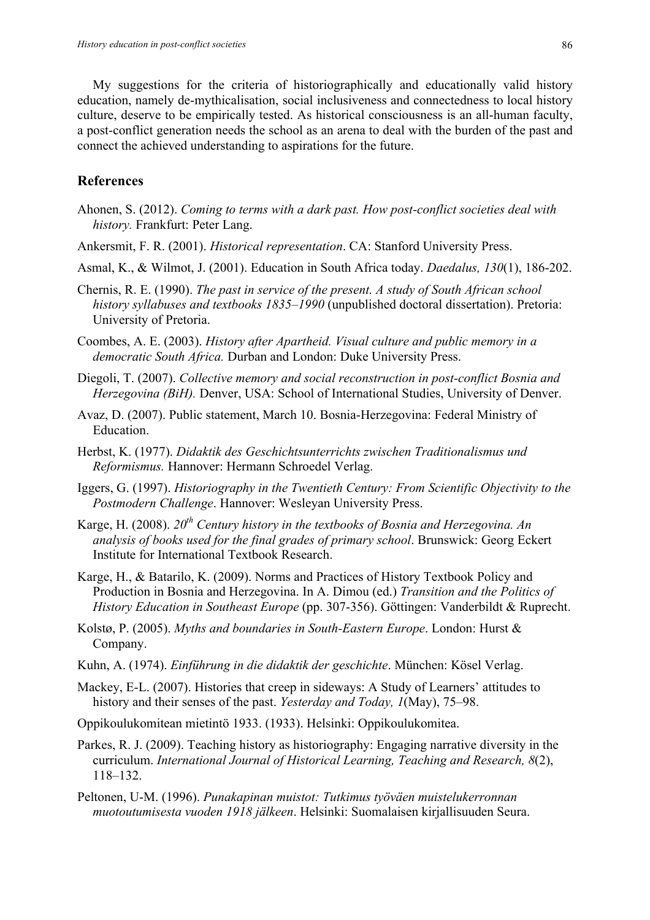My suggestions for the criteria of historiographically and educationally valid history education, namely de-mythicalisation, social inclusiveness and connectedness to local history culture, deserve to be empirically tested. As historical consciousness is an all-human faculty, a post-conflict generation needs the school as an arena to deal with the burden of the past and connect the achieved understanding to aspirations for the future.

# **References**

- Ahonen, S. (2012). *Coming to terms with a dark past. How post-conflict societies deal with history.* Frankfurt: Peter Lang.
- Ankersmit, F. R. (2001). *Historical representation*. CA: Stanford University Press.
- Asmal, K., & Wilmot, J. (2001). Education in South Africa today. *Daedalus, 130*(1), 186-202.
- Chernis, R. E. (1990). *The past in service of the present. A study of South African school history syllabuses and textbooks 1835–1990* (unpublished doctoral dissertation). Pretoria: University of Pretoria.
- Coombes, A. E. (2003). *History after Apartheid. Visual culture and public memory in a democratic South Africa.* Durban and London: Duke University Press.
- Diegoli, T. (2007). *Collective memory and social reconstruction in post-conflict Bosnia and Herzegovina (BiH).* Denver, USA: School of International Studies, University of Denver.
- Avaz, D. (2007). Public statement, March 10. Bosnia-Herzegovina: Federal Ministry of Education.
- Herbst, K. (1977). *Didaktik des Geschichtsunterrichts zwischen Traditionalismus und Reformismus.* Hannover: Hermann Schroedel Verlag.
- Iggers, G. (1997). *Historiography in the Twentieth Century: From Scientific Objectivity to the Postmodern Challenge*. Hannover: Wesleyan University Press.
- Karge, H. (2008). *20th Century history in the textbooks of Bosnia and Herzegovina. An analysis of books used for the final grades of primary school*. Brunswick: Georg Eckert Institute for International Textbook Research.
- Karge, H., & Batarilo, K. (2009). Norms and Practices of History Textbook Policy and Production in Bosnia and Herzegovina. In A. Dimou (ed.) *Transition and the Politics of History Education in Southeast Europe* (pp. 307-356). Göttingen: Vanderbildt & Ruprecht.
- Kolstø, P. (2005). *Myths and boundaries in South-Eastern Europe*. London: Hurst & Company.
- Kuhn, A. (1974). *Einführung in die didaktik der geschichte*. München: Kösel Verlag.
- Mackey, E-L. (2007). Histories that creep in sideways: A Study of Learners' attitudes to history and their senses of the past. *Yesterday and Today, 1*(May), 75–98.
- Oppikoulukomitean mietintö 1933. (1933). Helsinki: Oppikoulukomitea.
- Parkes, R. J. (2009). Teaching history as historiography: Engaging narrative diversity in the curriculum. *International Journal of Historical Learning, Teaching and Research, 8*(2), 118–132.
- Peltonen, U-M. (1996). *Punakapinan muistot: Tutkimus työväen muistelukerronnan muotoutumisesta vuoden 1918 jälkeen*. Helsinki: Suomalaisen kirjallisuuden Seura.